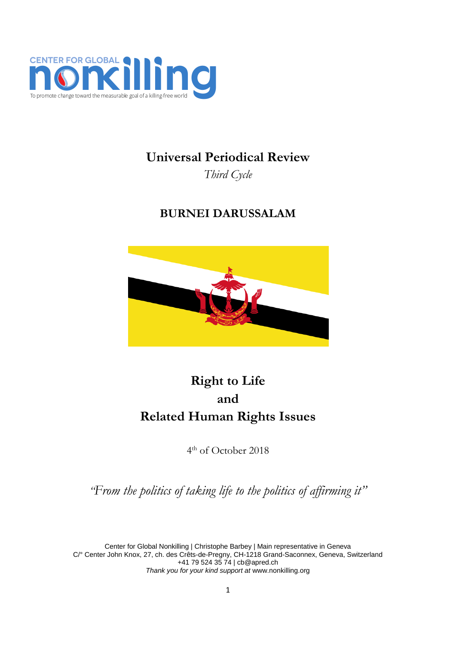

# **Universal Periodical Review**

*Third Cycle*

# **BURNEI DARUSSALAM**



# **Right to Life and Related Human Rights Issues**

4 th of October 2018

*"From the politics of taking life to the politics of affirming it"*

Center for Global Nonkilling | Christophe Barbey | Main representative in Geneva C/° Center John Knox, 27, ch. des Crêts-de-Pregny, CH-1218 Grand-Saconnex, Geneva, Switzerland +41 79 524 35 74 [| cb@apred.ch](mailto:cb@apred.ch) *Thank you for your kind support at* [www.nonkilling.org](http://www.nonkilling.org/)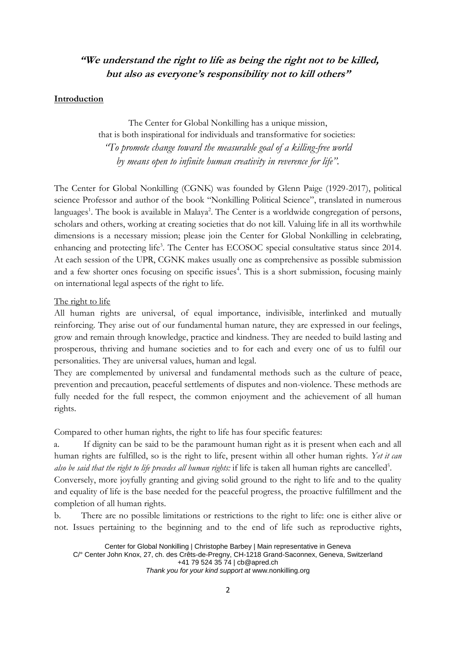# **"We understand the right to life as being the right not to be killed, but also as everyone's responsibility not to kill others"**

## **Introduction**

The Center for Global Nonkilling has a unique mission, that is both inspirational for individuals and transformative for societies: *"To promote change toward the measurable goal of a killing-free world by means open to infinite human creativity in reverence for life".*

The Center for Global Nonkilling (CGNK) was founded by Glenn Paige (1929-2017), political science Professor and author of the book "Nonkilling Political Science", translated in numerous languages<sup>1</sup>. The book is available in Malaya<sup>2</sup>. The Center is a worldwide congregation of persons, scholars and others, working at creating societies that do not kill. Valuing life in all its worthwhile dimensions is a necessary mission; please join the Center for Global Nonkilling in celebrating, enhancing and protecting life<sup>3</sup>. The Center has ECOSOC special consultative status since 2014. At each session of the UPR, CGNK makes usually one as comprehensive as possible submission and a few shorter ones focusing on specific issues<sup>4</sup>. This is a short submission, focusing mainly on international legal aspects of the right to life.

## The right to life

All human rights are universal, of equal importance, indivisible, interlinked and mutually reinforcing. They arise out of our fundamental human nature, they are expressed in our feelings, grow and remain through knowledge, practice and kindness. They are needed to build lasting and prosperous, thriving and humane societies and to for each and every one of us to fulfil our personalities. They are universal values, human and legal.

They are complemented by universal and fundamental methods such as the culture of peace, prevention and precaution, peaceful settlements of disputes and non-violence. These methods are fully needed for the full respect, the common enjoyment and the achievement of all human rights.

Compared to other human rights, the right to life has four specific features:

a. If dignity can be said to be the paramount human right as it is present when each and all human rights are fulfilled, so is the right to life, present within all other human rights. *Yet it can*  also be said that the right to life precedes all human rights: if life is taken all human rights are cancelled<sup>5</sup>.

Conversely, more joyfully granting and giving solid ground to the right to life and to the quality and equality of life is the base needed for the peaceful progress, the proactive fulfillment and the completion of all human rights.

b. There are no possible limitations or restrictions to the right to life: one is either alive or not. Issues pertaining to the beginning and to the end of life such as reproductive rights,

Center for Global Nonkilling | Christophe Barbey | Main representative in Geneva C/° Center John Knox, 27, ch. des Crêts-de-Pregny, CH-1218 Grand-Saconnex, Geneva, Switzerland +41 79 524 35 74 [| cb@apred.ch](mailto:cb@apred.ch) *Thank you for your kind support at* [www.nonkilling.org](http://www.nonkilling.org/)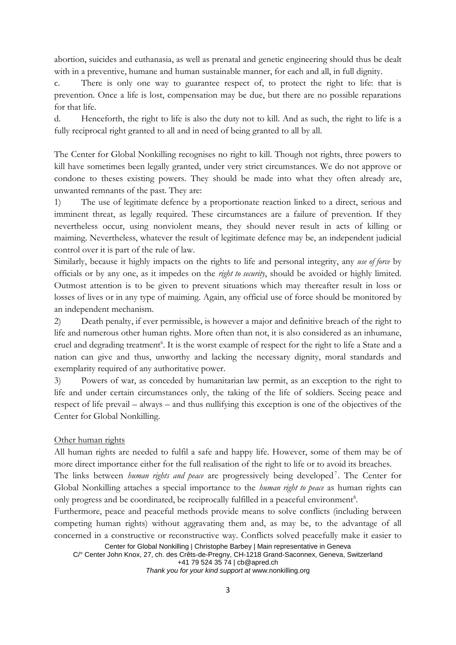abortion, suicides and euthanasia, as well as prenatal and genetic engineering should thus be dealt with in a preventive, humane and human sustainable manner, for each and all, in full dignity.

c. There is only one way to guarantee respect of, to protect the right to life: that is prevention. Once a life is lost, compensation may be due, but there are no possible reparations for that life.

d. Henceforth, the right to life is also the duty not to kill. And as such, the right to life is a fully reciprocal right granted to all and in need of being granted to all by all.

The Center for Global Nonkilling recognises no right to kill. Though not rights, three powers to kill have sometimes been legally granted, under very strict circumstances. We do not approve or condone to theses existing powers. They should be made into what they often already are, unwanted remnants of the past. They are:

1) The use of legitimate defence by a proportionate reaction linked to a direct, serious and imminent threat, as legally required. These circumstances are a failure of prevention. If they nevertheless occur, using nonviolent means, they should never result in acts of killing or maiming. Nevertheless, whatever the result of legitimate defence may be, an independent judicial control over it is part of the rule of law.

Similarly, because it highly impacts on the rights to life and personal integrity, any *use of force* by officials or by any one, as it impedes on the *right to security*, should be avoided or highly limited. Outmost attention is to be given to prevent situations which may thereafter result in loss or losses of lives or in any type of maiming. Again, any official use of force should be monitored by an independent mechanism.

2) Death penalty, if ever permissible, is however a major and definitive breach of the right to life and numerous other human rights. More often than not, it is also considered as an inhumane, cruel and degrading treatment<sup>6</sup>. It is the worst example of respect for the right to life a State and a nation can give and thus, unworthy and lacking the necessary dignity, moral standards and exemplarity required of any authoritative power.

3) Powers of war, as conceded by humanitarian law permit, as an exception to the right to life and under certain circumstances only, the taking of the life of soldiers. Seeing peace and respect of life prevail – always – and thus nullifying this exception is one of the objectives of the Center for Global Nonkilling.

## Other human rights

All human rights are needed to fulfil a safe and happy life. However, some of them may be of more direct importance either for the full realisation of the right to life or to avoid its breaches.

The links between *human rights and peace* are progressively being developed<sup>7</sup>. The Center for Global Nonkilling attaches a special importance to the *human right to peace* as human rights can only progress and be coordinated, be reciprocally fulfilled in a peaceful environment<sup>8</sup>.

Furthermore, peace and peaceful methods provide means to solve conflicts (including between competing human rights) without aggravating them and, as may be, to the advantage of all concerned in a constructive or reconstructive way. Conflicts solved peacefully make it easier to

Center for Global Nonkilling | Christophe Barbey | Main representative in Geneva

C/° Center John Knox, 27, ch. des Crêts-de-Pregny, CH-1218 Grand-Saconnex, Geneva, Switzerland +41 79 524 35 74 [| cb@apred.ch](mailto:cb@apred.ch)

*Thank you for your kind support at* [www.nonkilling.org](http://www.nonkilling.org/)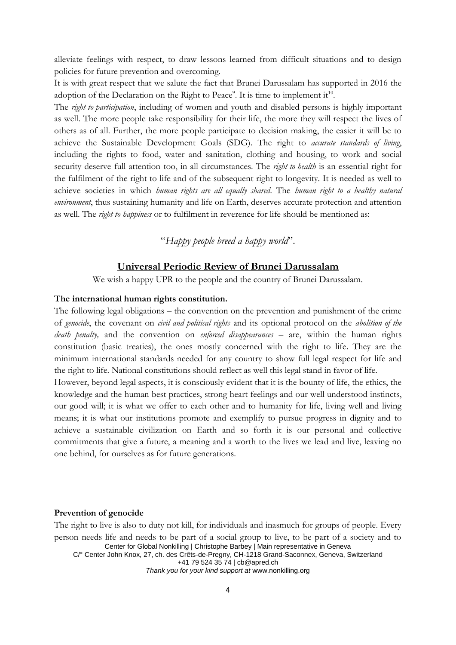alleviate feelings with respect, to draw lessons learned from difficult situations and to design policies for future prevention and overcoming.

It is with great respect that we salute the fact that Brunei Darussalam has supported in 2016 the adoption of the Declaration on the Right to Peace<sup>9</sup>. It is time to implement it<sup>10</sup>.

The *right to participation*, including of women and youth and disabled persons is highly important as well. The more people take responsibility for their life, the more they will respect the lives of others as of all. Further, the more people participate to decision making, the easier it will be to achieve the Sustainable Development Goals (SDG). The right to *accurate standards of living*, including the rights to food, water and sanitation, clothing and housing, to work and social security deserve full attention too, in all circumstances. The *right to health* is an essential right for the fulfilment of the right to life and of the subsequent right to longevity. It is needed as well to achieve societies in which *human rights are all equally shared*. The *human right to a healthy natural environment*, thus sustaining humanity and life on Earth, deserves accurate protection and attention as well. The *right to happiness* or to fulfilment in reverence for life should be mentioned as:

"*Happy people breed a happy world*".

# **Universal Periodic Review of Brunei Darussalam**

We wish a happy UPR to the people and the country of Brunei Darussalam.

## **The international human rights constitution.**

The following legal obligations – the convention on the prevention and punishment of the crime of *genocide*, the covenant on *civil and political rights* and its optional protocol on the *abolition of the death penalty,* and the convention on *enforced disappearances* – are, within the human rights constitution (basic treaties), the ones mostly concerned with the right to life. They are the minimum international standards needed for any country to show full legal respect for life and the right to life. National constitutions should reflect as well this legal stand in favor of life.

However, beyond legal aspects, it is consciously evident that it is the bounty of life, the ethics, the knowledge and the human best practices, strong heart feelings and our well understood instincts, our good will; it is what we offer to each other and to humanity for life, living well and living means; it is what our institutions promote and exemplify to pursue progress in dignity and to achieve a sustainable civilization on Earth and so forth it is our personal and collective commitments that give a future, a meaning and a worth to the lives we lead and live, leaving no one behind, for ourselves as for future generations.

#### **Prevention of genocide**

Center for Global Nonkilling | Christophe Barbey | Main representative in Geneva C/° Center John Knox, 27, ch. des Crêts-de-Pregny, CH-1218 Grand-Saconnex, Geneva, Switzerland +41 79 524 35 74 [| cb@apred.ch](mailto:cb@apred.ch) The right to live is also to duty not kill, for individuals and inasmuch for groups of people. Every person needs life and needs to be part of a social group to live, to be part of a society and to

*Thank you for your kind support at* [www.nonkilling.org](http://www.nonkilling.org/)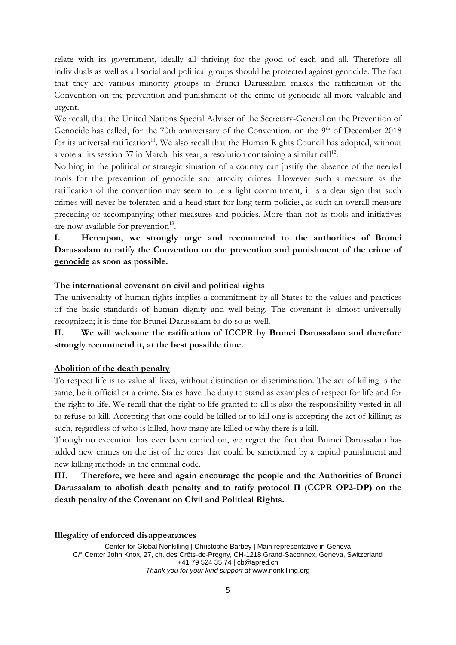relate with its government, ideally all thriving for the good of each and all. Therefore all individuals as well as all social and political groups should be protected against genocide. The fact that they are various minority groups in Brunei Darussalam makes the ratification of the Convention on the prevention and punishment of the crime of genocide all more valuable and urgent.

We recall, that the United Nations Special Adviser of the Secretary-General on the Prevention of Genocide has called, for the 70th anniversary of the Convention, on the  $9<sup>th</sup>$  of December 2018 for its universal ratification<sup>11</sup>. We also recall that the Human Rights Council has adopted, without a vote at its session 37 in March this year, a resolution containing a similar call<sup>12</sup>.

Nothing in the political or strategic situation of a country can justify the absence of the needed tools for the prevention of genocide and atrocity crimes. However such a measure as the ratification of the convention may seem to be a light commitment, it is a clear sign that such crimes will never be tolerated and a head start for long term policies, as such an overall measure preceding or accompanying other measures and policies. More than not as tools and initiatives are now available for prevention<sup>13</sup>.

# **I. Hereupon, we strongly urge and recommend to the authorities of Brunei Darussalam to ratify the Convention on the prevention and punishment of the crime of genocide as soon as possible.**

## **The international covenant on civil and political rights**

The universality of human rights implies a commitment by all States to the values and practices of the basic standards of human dignity and well-being. The covenant is almost universally recognized; it is time for Brunei Darussalam to do so as well.

# **II. We will welcome the ratification of ICCPR by Brunei Darussalam and therefore strongly recommend it, at the best possible time.**

### **Abolition of the death penalty**

To respect life is to value all lives, without distinction or discrimination. The act of killing is the same, be it official or a crime. States have the duty to stand as examples of respect for life and for the right to life. We recall that the right to life granted to all is also the responsibility vested in all to refuse to kill. Accepting that one could be killed or to kill one is accepting the act of killing; as such, regardless of who is killed, how many are killed or why there is a kill.

Though no execution has ever been carried on, we regret the fact that Brunei Darussalam has added new crimes on the list of the ones that could be sanctioned by a capital punishment and new killing methods in the criminal code.

**III. Therefore, we here and again encourage the people and the Authorities of Brunei Darussalam to abolish death penalty and to ratify protocol II (CCPR OP2-DP) on the death penalty of the Covenant on Civil and Political Rights.**

**Illegality of enforced disappearances**

Center for Global Nonkilling | Christophe Barbey | Main representative in Geneva C/° Center John Knox, 27, ch. des Crêts-de-Pregny, CH-1218 Grand-Saconnex, Geneva, Switzerland +41 79 524 35 74 [| cb@apred.ch](mailto:cb@apred.ch) *Thank you for your kind support at* [www.nonkilling.org](http://www.nonkilling.org/)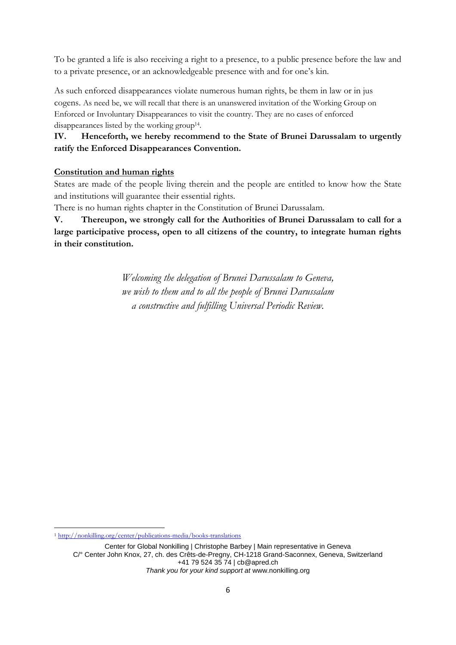To be granted a life is also receiving a right to a presence, to a public presence before the law and to a private presence, or an acknowledgeable presence with and for one's kin.

As such enforced disappearances violate numerous human rights, be them in law or in jus cogens. As need be, we will recall that there is an unanswered invitation of the Working Group on Enforced or Involuntary Disappearances to visit the country. They are no cases of enforced disappearances listed by the working group<sup>14</sup>.

# **IV. Henceforth, we hereby recommend to the State of Brunei Darussalam to urgently ratify the Enforced Disappearances Convention.**

# **Constitution and human rights**

States are made of the people living therein and the people are entitled to know how the State and institutions will guarantee their essential rights.

There is no human rights chapter in the Constitution of Brunei Darussalam.

**V. Thereupon, we strongly call for the Authorities of Brunei Darussalam to call for a large participative process, open to all citizens of the country, to integrate human rights in their constitution.**

> *Welcoming the delegation of Brunei Darussalam to Geneva, we wish to them and to all the people of Brunei Darussalam a constructive and fulfilling Universal Periodic Review.*

**<sup>.</sup>** <sup>1</sup> <http://nonkilling.org/center/publications-media/books-translations>

Center for Global Nonkilling | Christophe Barbey | Main representative in Geneva C/° Center John Knox, 27, ch. des Crêts-de-Pregny, CH-1218 Grand-Saconnex, Geneva, Switzerland +41 79 524 35 74 [| cb@apred.ch](mailto:cb@apred.ch) *Thank you for your kind support at* [www.nonkilling.org](http://www.nonkilling.org/)